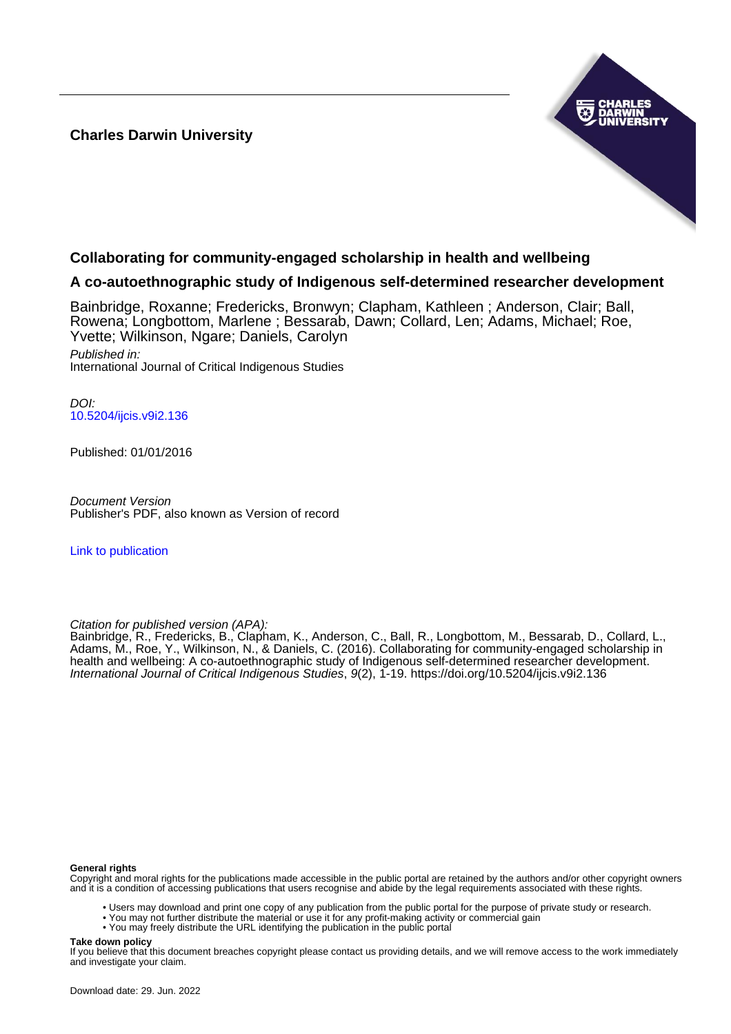#### **Charles Darwin University**



## **Collaborating for community-engaged scholarship in health and wellbeing**

#### **A co-autoethnographic study of Indigenous self-determined researcher development**

Bainbridge, Roxanne; Fredericks, Bronwyn; Clapham, Kathleen ; Anderson, Clair; Ball, Rowena; Longbottom, Marlene ; Bessarab, Dawn; Collard, Len; Adams, Michael; Roe, Yvette; Wilkinson, Ngare; Daniels, Carolyn Published in: International Journal of Critical Indigenous Studies

DOI: [10.5204/ijcis.v9i2.136](https://doi.org/10.5204/ijcis.v9i2.136)

Published: 01/01/2016

Document Version Publisher's PDF, also known as Version of record

[Link to publication](https://researchers.cdu.edu.au/en/publications/17c3630b-2f22-464f-971c-15cd08605f96)

Citation for published version (APA):

Bainbridge, R., Fredericks, B., Clapham, K., Anderson, C., Ball, R., Longbottom, M., Bessarab, D., Collard, L., Adams, M., Roe, Y., Wilkinson, N., & Daniels, C. (2016). Collaborating for community-engaged scholarship in health and wellbeing: A co-autoethnographic study of Indigenous self-determined researcher development. International Journal of Critical Indigenous Studies, 9(2), 1-19.<https://doi.org/10.5204/ijcis.v9i2.136>

#### **General rights**

Copyright and moral rights for the publications made accessible in the public portal are retained by the authors and/or other copyright owners and it is a condition of accessing publications that users recognise and abide by the legal requirements associated with these rights.

• Users may download and print one copy of any publication from the public portal for the purpose of private study or research.

- You may not further distribute the material or use it for any profit-making activity or commercial gain
- You may freely distribute the URL identifying the publication in the public portal

**Take down policy**

If you believe that this document breaches copyright please contact us providing details, and we will remove access to the work immediately and investigate your claim.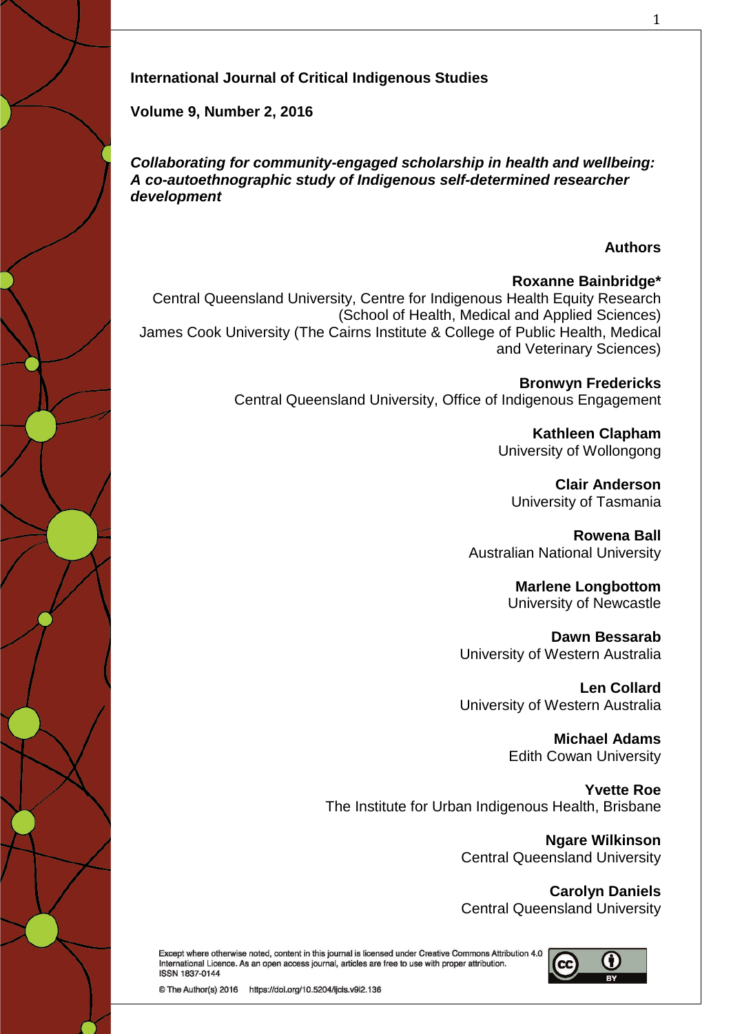# **International Journal of Critical Indigenous Studies**

**Volume 9, Number 2, 2016** 

*Collaborating for community-engaged scholarship in health and wellbeing: A co-autoethnographic study of Indigenous self-determined researcher development*

## **Authors**

## **Roxanne Bainbridge\***

Central Queensland University, Centre for Indigenous Health Equity Research (School of Health, Medical and Applied Sciences) James Cook University (The Cairns Institute & College of Public Health, Medical and Veterinary Sciences)

> **Bronwyn Fredericks** Central Queensland University, Office of Indigenous Engagement

> > **Kathleen Clapham** University of Wollongong

**Clair Anderson** University of Tasmania

**Rowena Ball** Australian National University

> **Marlene Longbottom** University of Newcastle

**Dawn Bessarab** University of Western Australia

**Len Collard** University of Western Australia

> **Michael Adams** Edith Cowan University

**Yvette Roe** The Institute for Urban Indigenous Health, Brisbane

> **Ngare Wilkinson** Central Queensland University

> **Carolyn Daniels** Central Queensland University

Except where otherwise noted, content in this journal is licensed under Creative Commons Attribution 4.0 International Licence. As an open access journal, articles are free to use with proper attribution. **ISSN 1837-0144** 



© The Author(s) 2016 https://doi.org/10.5204/ijcis.v9i2.136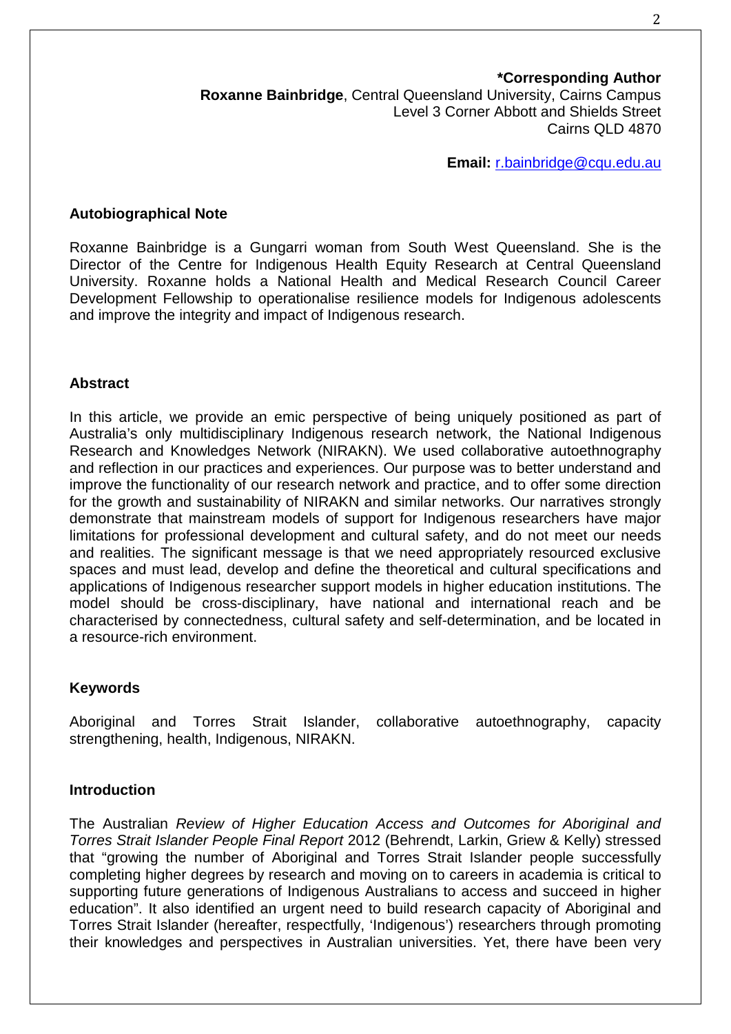# **\*Corresponding Author**

**Roxanne Bainbridge**, Central Queensland University, Cairns Campus Level 3 Corner Abbott and Shields Street Cairns QLD 4870

**Email:** [r.bainbridge@cqu.edu.au](mailto:r.bainbridge@cqu.edu.au)

## **Autobiographical Note**

Roxanne Bainbridge is a Gungarri woman from South West Queensland. She is the Director of the Centre for Indigenous Health Equity Research at Central Queensland University. Roxanne holds a National Health and Medical Research Council Career Development Fellowship to operationalise resilience models for Indigenous adolescents and improve the integrity and impact of Indigenous research.

# **Abstract**

In this article, we provide an emic perspective of being uniquely positioned as part of Australia's only multidisciplinary Indigenous research network, the National Indigenous Research and Knowledges Network (NIRAKN). We used collaborative autoethnography and reflection in our practices and experiences. Our purpose was to better understand and improve the functionality of our research network and practice, and to offer some direction for the growth and sustainability of NIRAKN and similar networks. Our narratives strongly demonstrate that mainstream models of support for Indigenous researchers have major limitations for professional development and cultural safety, and do not meet our needs and realities. The significant message is that we need appropriately resourced exclusive spaces and must lead, develop and define the theoretical and cultural specifications and applications of Indigenous researcher support models in higher education institutions. The model should be cross-disciplinary, have national and international reach and be characterised by connectedness, cultural safety and self-determination, and be located in a resource-rich environment.

## **Keywords**

Aboriginal and Torres Strait Islander, collaborative autoethnography, capacity strengthening, health, Indigenous, NIRAKN.

## **Introduction**

The Australian *Review of Higher Education Access and Outcomes for Aboriginal and Torres Strait Islander People Final Report* 2012 (Behrendt, Larkin, Griew & Kelly) stressed that "growing the number of Aboriginal and Torres Strait Islander people successfully completing higher degrees by research and moving on to careers in academia is critical to supporting future generations of Indigenous Australians to access and succeed in higher education". It also identified an urgent need to build research capacity of Aboriginal and Torres Strait Islander (hereafter, respectfully, 'Indigenous') researchers through promoting their knowledges and perspectives in Australian universities. Yet, there have been very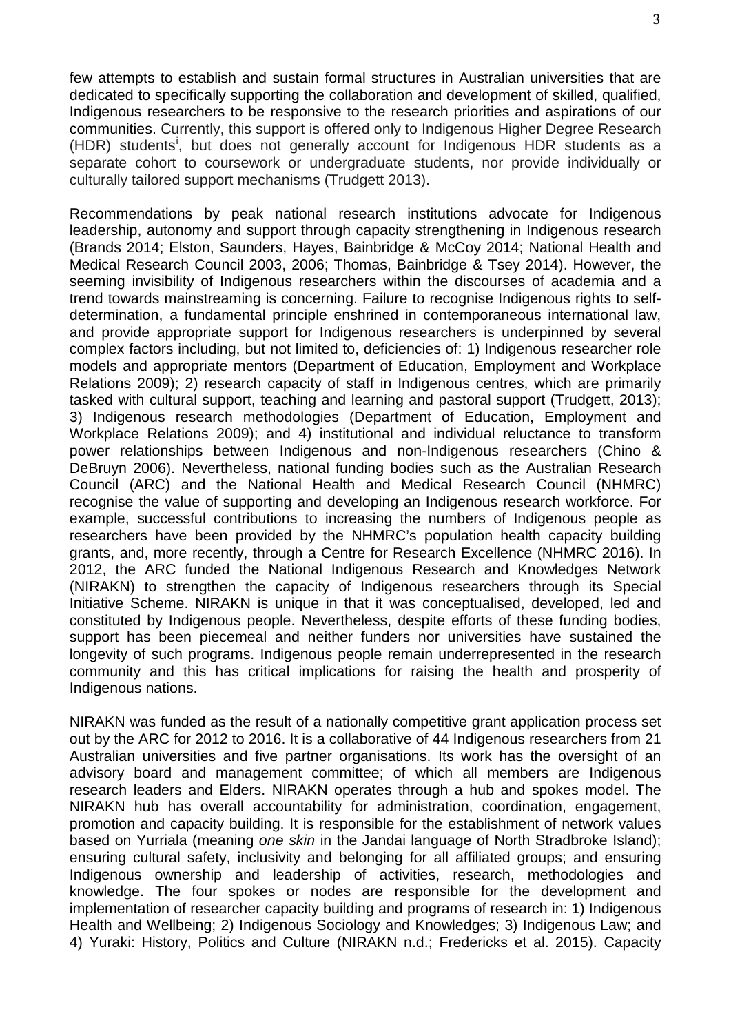few attempts to establish and sustain formal structures in Australian universities that are dedicated to specifically supporting the collaboration and development of skilled, qualified, Indigenous researchers to be responsive to the research priorities and aspirations of our communities. Currently, this support is offered only to Indigenous Higher Degree Research (HDR) students<sup>[i](#page-19-0)</sup>, but does not generally account for Indigenous HDR students as a separate cohort to coursework or undergraduate students, nor provide individually or culturally tailored support mechanisms (Trudgett 2013).

Recommendations by peak national research institutions advocate for Indigenous leadership, autonomy and support through capacity strengthening in Indigenous research (Brands 2014; Elston, Saunders, Hayes, Bainbridge & McCoy 2014; National Health and Medical Research Council 2003, 2006; Thomas, Bainbridge & Tsey 2014). However, the seeming invisibility of Indigenous researchers within the discourses of academia and a trend towards mainstreaming is concerning. Failure to recognise Indigenous rights to selfdetermination, a fundamental principle enshrined in contemporaneous international law, and provide appropriate support for Indigenous researchers is underpinned by several complex factors including, but not limited to, deficiencies of: 1) Indigenous researcher role models and appropriate mentors (Department of Education, Employment and Workplace Relations 2009); 2) research capacity of staff in Indigenous centres, which are primarily tasked with cultural support, teaching and learning and pastoral support (Trudgett, 2013); 3) Indigenous research methodologies (Department of Education, Employment and Workplace Relations 2009); and 4) institutional and individual reluctance to transform power relationships between Indigenous and non-Indigenous researchers (Chino & DeBruyn 2006). Nevertheless, national funding bodies such as the Australian Research Council (ARC) and the National Health and Medical Research Council (NHMRC) recognise the value of supporting and developing an Indigenous research workforce. For example, successful contributions to increasing the numbers of Indigenous people as researchers have been provided by the NHMRC's population health capacity building grants, and, more recently, through a Centre for Research Excellence (NHMRC 2016). In 2012, the ARC funded the National Indigenous Research and Knowledges Network (NIRAKN) to strengthen the capacity of Indigenous researchers through its Special Initiative Scheme. NIRAKN is unique in that it was conceptualised, developed, led and constituted by Indigenous people. Nevertheless, despite efforts of these funding bodies, support has been piecemeal and neither funders nor universities have sustained the longevity of such programs. Indigenous people remain underrepresented in the research community and this has critical implications for raising the health and prosperity of Indigenous nations.

NIRAKN was funded as the result of a nationally competitive grant application process set out by the ARC for 2012 to 2016. It is a collaborative of 44 Indigenous researchers from 21 Australian universities and five partner organisations. Its work has the oversight of an advisory board and management committee; of which all members are Indigenous research leaders and Elders. NIRAKN operates through a hub and spokes model. The NIRAKN hub has overall accountability for administration, coordination, engagement, promotion and capacity building. It is responsible for the establishment of network values based on Yurriala (meaning *one skin* in the Jandai language of North Stradbroke Island); ensuring cultural safety, inclusivity and belonging for all affiliated groups; and ensuring Indigenous ownership and leadership of activities, research, methodologies and knowledge. The four spokes or nodes are responsible for the development and implementation of researcher capacity building and programs of research in: 1) Indigenous Health and Wellbeing; 2) Indigenous Sociology and Knowledges; 3) Indigenous Law; and 4) Yuraki: History, Politics and Culture (NIRAKN n.d.; Fredericks et al. 2015). Capacity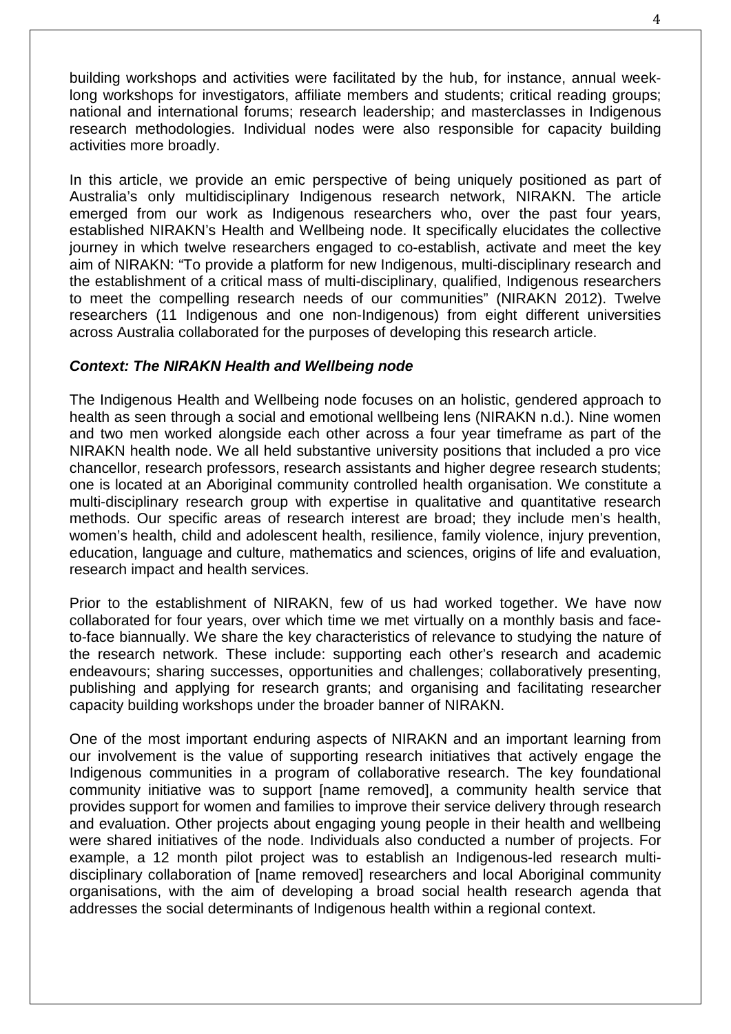building workshops and activities were facilitated by the hub, for instance, annual weeklong workshops for investigators, affiliate members and students; critical reading groups; national and international forums; research leadership; and masterclasses in Indigenous research methodologies. Individual nodes were also responsible for capacity building activities more broadly.

In this article, we provide an emic perspective of being uniquely positioned as part of Australia's only multidisciplinary Indigenous research network, NIRAKN. The article emerged from our work as Indigenous researchers who, over the past four years, established NIRAKN's Health and Wellbeing node. It specifically elucidates the collective journey in which twelve researchers engaged to co-establish, activate and meet the key aim of NIRAKN: "To provide a platform for new Indigenous, multi-disciplinary research and the establishment of a critical mass of multi-disciplinary, qualified, Indigenous researchers to meet the compelling research needs of our communities" (NIRAKN 2012). Twelve researchers (11 Indigenous and one non-Indigenous) from eight different universities across Australia collaborated for the purposes of developing this research article.

# *Context: The NIRAKN Health and Wellbeing node*

The Indigenous Health and Wellbeing node focuses on an holistic, gendered approach to health as seen through a social and emotional wellbeing lens (NIRAKN n.d.). Nine women and two men worked alongside each other across a four year timeframe as part of the NIRAKN health node. We all held substantive university positions that included a pro vice chancellor, research professors, research assistants and higher degree research students; one is located at an Aboriginal community controlled health organisation. We constitute a multi-disciplinary research group with expertise in qualitative and quantitative research methods. Our specific areas of research interest are broad; they include men's health, women's health, child and adolescent health, resilience, family violence, injury prevention, education, language and culture, mathematics and sciences, origins of life and evaluation, research impact and health services.

Prior to the establishment of NIRAKN, few of us had worked together. We have now collaborated for four years, over which time we met virtually on a monthly basis and faceto-face biannually. We share the key characteristics of relevance to studying the nature of the research network. These include: supporting each other's research and academic endeavours; sharing successes, opportunities and challenges; collaboratively presenting, publishing and applying for research grants; and organising and facilitating researcher capacity building workshops under the broader banner of NIRAKN.

One of the most important enduring aspects of NIRAKN and an important learning from our involvement is the value of supporting research initiatives that actively engage the Indigenous communities in a program of collaborative research. The key foundational community initiative was to support [name removed], a community health service that provides support for women and families to improve their service delivery through research and evaluation. Other projects about engaging young people in their health and wellbeing were shared initiatives of the node. Individuals also conducted a number of projects. For example, a 12 month pilot project was to establish an Indigenous-led research multidisciplinary collaboration of [name removed] researchers and local Aboriginal community organisations, with the aim of developing a broad social health research agenda that addresses the social determinants of Indigenous health within a regional context.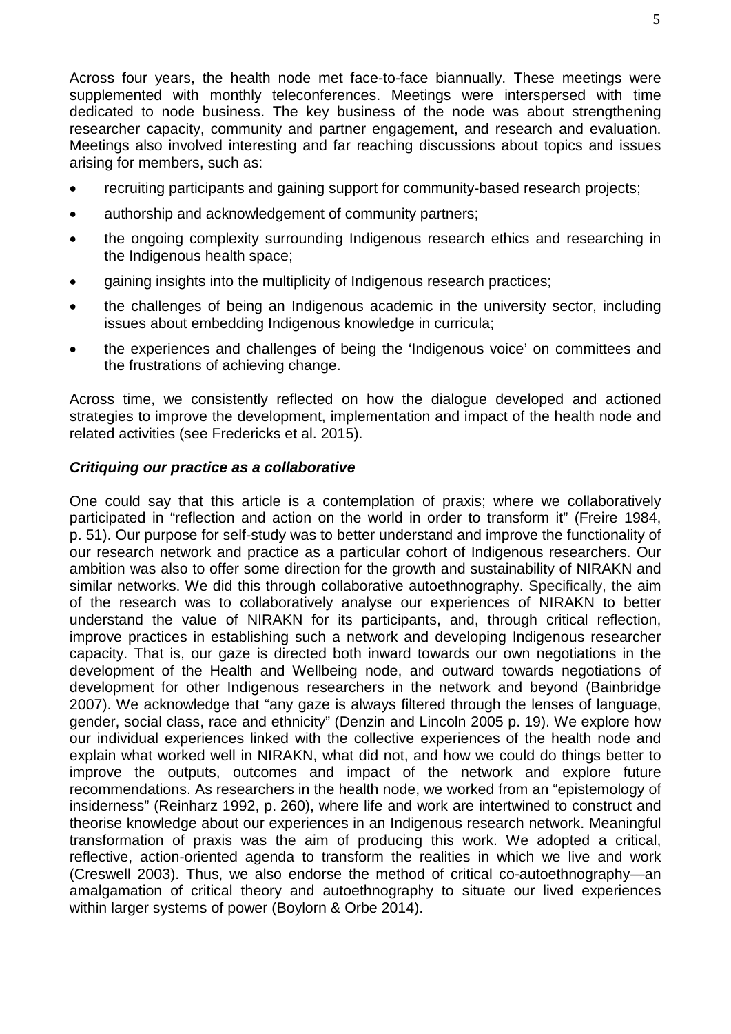Across four years, the health node met face-to-face biannually. These meetings were supplemented with monthly teleconferences. Meetings were interspersed with time dedicated to node business. The key business of the node was about strengthening researcher capacity, community and partner engagement, and research and evaluation. Meetings also involved interesting and far reaching discussions about topics and issues arising for members, such as:

- recruiting participants and gaining support for community-based research projects;
- authorship and acknowledgement of community partners;
- the ongoing complexity surrounding Indigenous research ethics and researching in the Indigenous health space;
- gaining insights into the multiplicity of Indigenous research practices;
- the challenges of being an Indigenous academic in the university sector, including issues about embedding Indigenous knowledge in curricula;
- the experiences and challenges of being the 'Indigenous voice' on committees and the frustrations of achieving change.

Across time, we consistently reflected on how the dialogue developed and actioned strategies to improve the development, implementation and impact of the health node and related activities (see Fredericks et al. 2015).

# *Critiquing our practice as a collaborative*

One could say that this article is a contemplation of praxis; where we collaboratively participated in "reflection and action on the world in order to transform it" (Freire 1984, p. 51). Our purpose for self-study was to better understand and improve the functionality of our research network and practice as a particular cohort of Indigenous researchers. Our ambition was also to offer some direction for the growth and sustainability of NIRAKN and similar networks. We did this through collaborative autoethnography. Specifically, the aim of the research was to collaboratively analyse our experiences of NIRAKN to better understand the value of NIRAKN for its participants, and, through critical reflection, improve practices in establishing such a network and developing Indigenous researcher capacity. That is, our gaze is directed both inward towards our own negotiations in the development of the Health and Wellbeing node, and outward towards negotiations of development for other Indigenous researchers in the network and beyond (Bainbridge 2007). We acknowledge that "any gaze is always filtered through the lenses of language, gender, social class, race and ethnicity" (Denzin and Lincoln 2005 p. 19). We explore how our individual experiences linked with the collective experiences of the health node and explain what worked well in NIRAKN, what did not, and how we could do things better to improve the outputs, outcomes and impact of the network and explore future recommendations. As researchers in the health node, we worked from an "epistemology of insiderness" (Reinharz 1992, p. 260), where life and work are intertwined to construct and theorise knowledge about our experiences in an Indigenous research network. Meaningful transformation of praxis was the aim of producing this work. We adopted a critical, reflective, action-oriented agenda to transform the realities in which we live and work (Creswell 2003). Thus, we also endorse the method of critical co-autoethnography—an amalgamation of critical theory and autoethnography to situate our lived experiences within larger systems of power (Boylorn & Orbe 2014).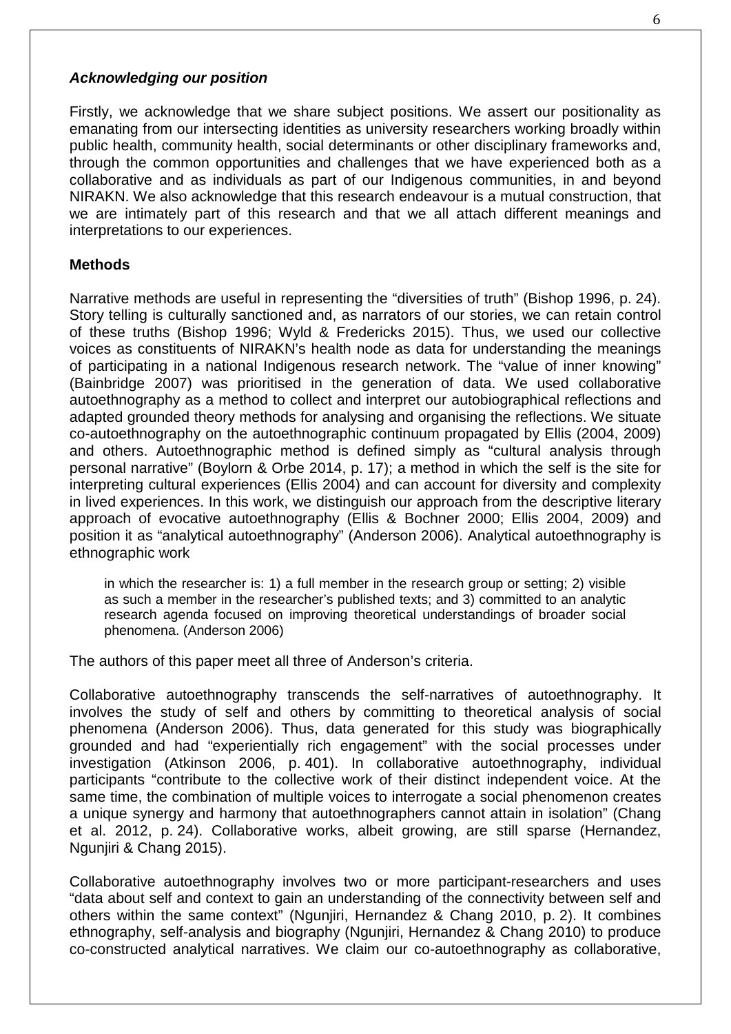# *Acknowledging our position*

Firstly, we acknowledge that we share subject positions. We assert our positionality as emanating from our intersecting identities as university researchers working broadly within public health, community health, social determinants or other disciplinary frameworks and, through the common opportunities and challenges that we have experienced both as a collaborative and as individuals as part of our Indigenous communities, in and beyond NIRAKN. We also acknowledge that this research endeavour is a mutual construction, that we are intimately part of this research and that we all attach different meanings and interpretations to our experiences.

# **Methods**

Narrative methods are useful in representing the "diversities of truth" (Bishop 1996, p. 24). Story telling is culturally sanctioned and, as narrators of our stories, we can retain control of these truths (Bishop 1996; Wyld & Fredericks 2015). Thus, we used our collective voices as constituents of NIRAKN's health node as data for understanding the meanings of participating in a national Indigenous research network. The "value of inner knowing" (Bainbridge 2007) was prioritised in the generation of data. We used collaborative autoethnography as a method to collect and interpret our autobiographical reflections and adapted grounded theory methods for analysing and organising the reflections. We situate co-autoethnography on the autoethnographic continuum propagated by Ellis (2004, 2009) and others. Autoethnographic method is defined simply as "cultural analysis through personal narrative" (Boylorn & Orbe 2014, p. 17); a method in which the self is the site for interpreting cultural experiences (Ellis 2004) and can account for diversity and complexity in lived experiences. In this work, we distinguish our approach from the descriptive literary approach of evocative autoethnography (Ellis & Bochner 2000; Ellis 2004, 2009) and position it as "analytical autoethnography" (Anderson 2006). Analytical autoethnography is ethnographic work

in which the researcher is: 1) a full member in the research group or setting; 2) visible as such a member in the researcher's published texts; and 3) committed to an analytic research agenda focused on improving theoretical understandings of broader social phenomena. (Anderson 2006)

The authors of this paper meet all three of Anderson's criteria.

Collaborative autoethnography transcends the self-narratives of autoethnography. It involves the study of self and others by committing to theoretical analysis of social phenomena (Anderson 2006). Thus, data generated for this study was biographically grounded and had "experientially rich engagement" with the social processes under investigation (Atkinson 2006, p. 401). In collaborative autoethnography, individual participants "contribute to the collective work of their distinct independent voice. At the same time, the combination of multiple voices to interrogate a social phenomenon creates a unique synergy and harmony that autoethnographers cannot attain in isolation" (Chang et al. 2012, p. 24). Collaborative works, albeit growing, are still sparse (Hernandez, Ngunjiri & Chang 2015).

Collaborative autoethnography involves two or more participant-researchers and uses "data about self and context to gain an understanding of the connectivity between self and others within the same context" (Ngunjiri, Hernandez & Chang 2010, p. 2). It combines ethnography, self-analysis and biography (Ngunjiri, Hernandez & Chang 2010) to produce co-constructed analytical narratives. We claim our co-autoethnography as collaborative,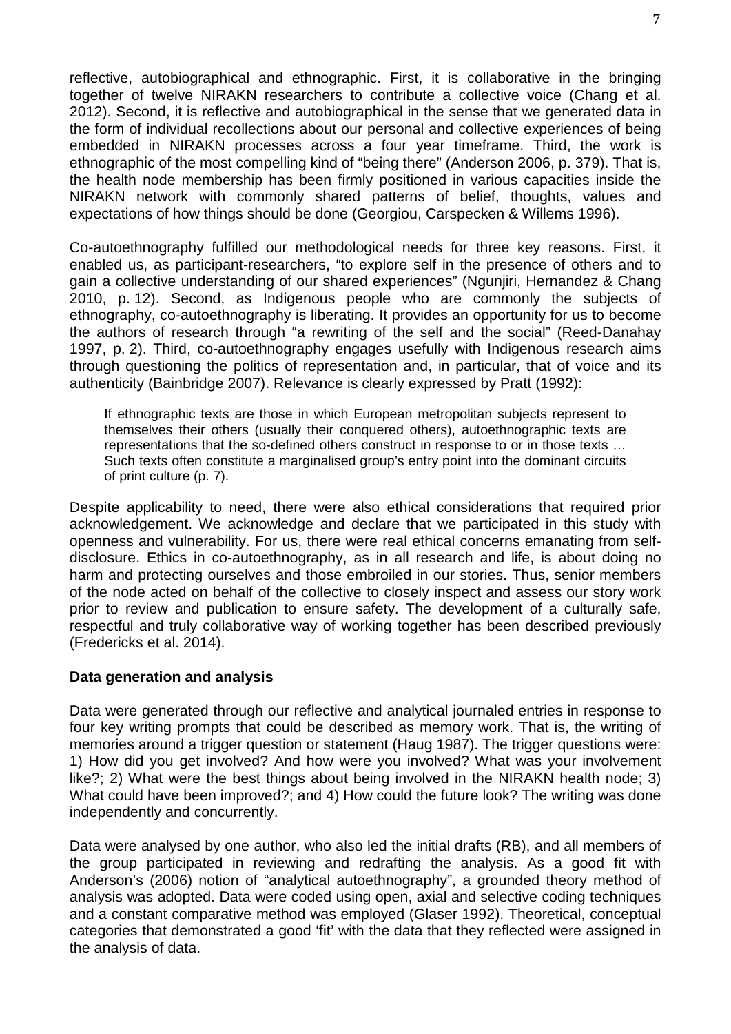reflective, autobiographical and ethnographic. First, it is collaborative in the bringing together of twelve NIRAKN researchers to contribute a collective voice (Chang et al. 2012). Second, it is reflective and autobiographical in the sense that we generated data in the form of individual recollections about our personal and collective experiences of being embedded in NIRAKN processes across a four year timeframe. Third, the work is ethnographic of the most compelling kind of "being there" (Anderson 2006, p. 379). That is, the health node membership has been firmly positioned in various capacities inside the NIRAKN network with commonly shared patterns of belief, thoughts, values and expectations of how things should be done (Georgiou, Carspecken & Willems 1996).

Co-autoethnography fulfilled our methodological needs for three key reasons. First, it enabled us, as participant-researchers, "to explore self in the presence of others and to gain a collective understanding of our shared experiences" (Ngunjiri, Hernandez & Chang 2010, p. 12). Second, as Indigenous people who are commonly the subjects of ethnography, co-autoethnography is liberating. It provides an opportunity for us to become the authors of research through "a rewriting of the self and the social" (Reed-Danahay 1997, p. 2). Third, co-autoethnography engages usefully with Indigenous research aims through questioning the politics of representation and, in particular, that of voice and its authenticity (Bainbridge 2007). Relevance is clearly expressed by Pratt (1992):

If ethnographic texts are those in which European metropolitan subjects represent to themselves their others (usually their conquered others), autoethnographic texts are representations that the so-defined others construct in response to or in those texts … Such texts often constitute a marginalised group's entry point into the dominant circuits of print culture (p. 7).

Despite applicability to need, there were also ethical considerations that required prior acknowledgement. We acknowledge and declare that we participated in this study with openness and vulnerability. For us, there were real ethical concerns emanating from selfdisclosure. Ethics in co-autoethnography, as in all research and life, is about doing no harm and protecting ourselves and those embroiled in our stories. Thus, senior members of the node acted on behalf of the collective to closely inspect and assess our story work prior to review and publication to ensure safety. The development of a culturally safe, respectful and truly collaborative way of working together has been described previously (Fredericks et al. 2014).

## **Data generation and analysis**

Data were generated through our reflective and analytical journaled entries in response to four key writing prompts that could be described as memory work. That is, the writing of memories around a trigger question or statement (Haug 1987). The trigger questions were: 1) How did you get involved? And how were you involved? What was your involvement like?; 2) What were the best things about being involved in the NIRAKN health node; 3) What could have been improved?; and 4) How could the future look? The writing was done independently and concurrently.

Data were analysed by one author, who also led the initial drafts (RB), and all members of the group participated in reviewing and redrafting the analysis. As a good fit with Anderson's (2006) notion of "analytical autoethnography", a grounded theory method of analysis was adopted. Data were coded using open, axial and selective coding techniques and a constant comparative method was employed (Glaser 1992). Theoretical, conceptual categories that demonstrated a good 'fit' with the data that they reflected were assigned in the analysis of data.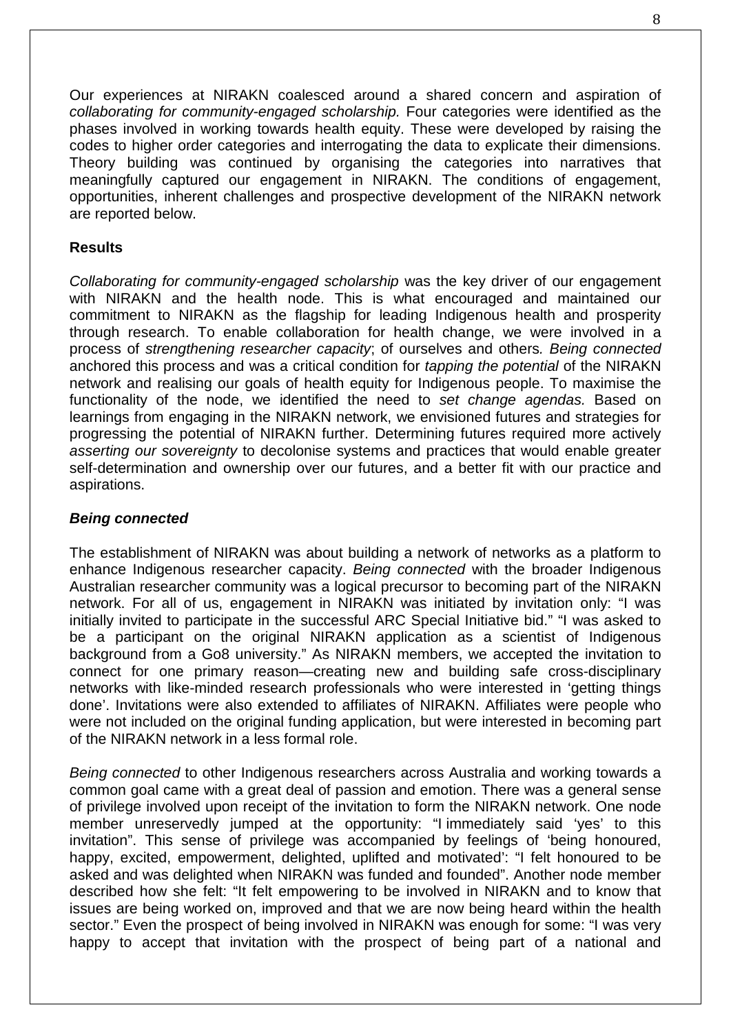Our experiences at NIRAKN coalesced around a shared concern and aspiration of *collaborating for community-engaged scholarship.* Four categories were identified as the phases involved in working towards health equity. These were developed by raising the codes to higher order categories and interrogating the data to explicate their dimensions. Theory building was continued by organising the categories into narratives that meaningfully captured our engagement in NIRAKN. The conditions of engagement, opportunities, inherent challenges and prospective development of the NIRAKN network are reported below.

# **Results**

*Collaborating for community-engaged scholarship* was the key driver of our engagement with NIRAKN and the health node. This is what encouraged and maintained our commitment to NIRAKN as the flagship for leading Indigenous health and prosperity through research. To enable collaboration for health change, we were involved in a process of *strengthening researcher capacity*; of ourselves and others*. Being connected* anchored this process and was a critical condition for *tapping the potential* of the NIRAKN network and realising our goals of health equity for Indigenous people. To maximise the functionality of the node, we identified the need to *set change agendas.* Based on learnings from engaging in the NIRAKN network, we envisioned futures and strategies for progressing the potential of NIRAKN further. Determining futures required more actively *asserting our sovereignty* to decolonise systems and practices that would enable greater self-determination and ownership over our futures, and a better fit with our practice and aspirations.

## *Being connected*

The establishment of NIRAKN was about building a network of networks as a platform to enhance Indigenous researcher capacity. *Being connected* with the broader Indigenous Australian researcher community was a logical precursor to becoming part of the NIRAKN network. For all of us, engagement in NIRAKN was initiated by invitation only: "I was initially invited to participate in the successful ARC Special Initiative bid." "I was asked to be a participant on the original NIRAKN application as a scientist of Indigenous background from a Go8 university." As NIRAKN members, we accepted the invitation to connect for one primary reason—creating new and building safe cross-disciplinary networks with like-minded research professionals who were interested in 'getting things done'. Invitations were also extended to affiliates of NIRAKN. Affiliates were people who were not included on the original funding application, but were interested in becoming part of the NIRAKN network in a less formal role.

*Being connected* to other Indigenous researchers across Australia and working towards a common goal came with a great deal of passion and emotion. There was a general sense of privilege involved upon receipt of the invitation to form the NIRAKN network. One node member unreservedly jumped at the opportunity: "I immediately said 'yes' to this invitation". This sense of privilege was accompanied by feelings of 'being honoured, happy, excited, empowerment, delighted, uplifted and motivated': "I felt honoured to be asked and was delighted when NIRAKN was funded and founded". Another node member described how she felt: "It felt empowering to be involved in NIRAKN and to know that issues are being worked on, improved and that we are now being heard within the health sector." Even the prospect of being involved in NIRAKN was enough for some: "I was very happy to accept that invitation with the prospect of being part of a national and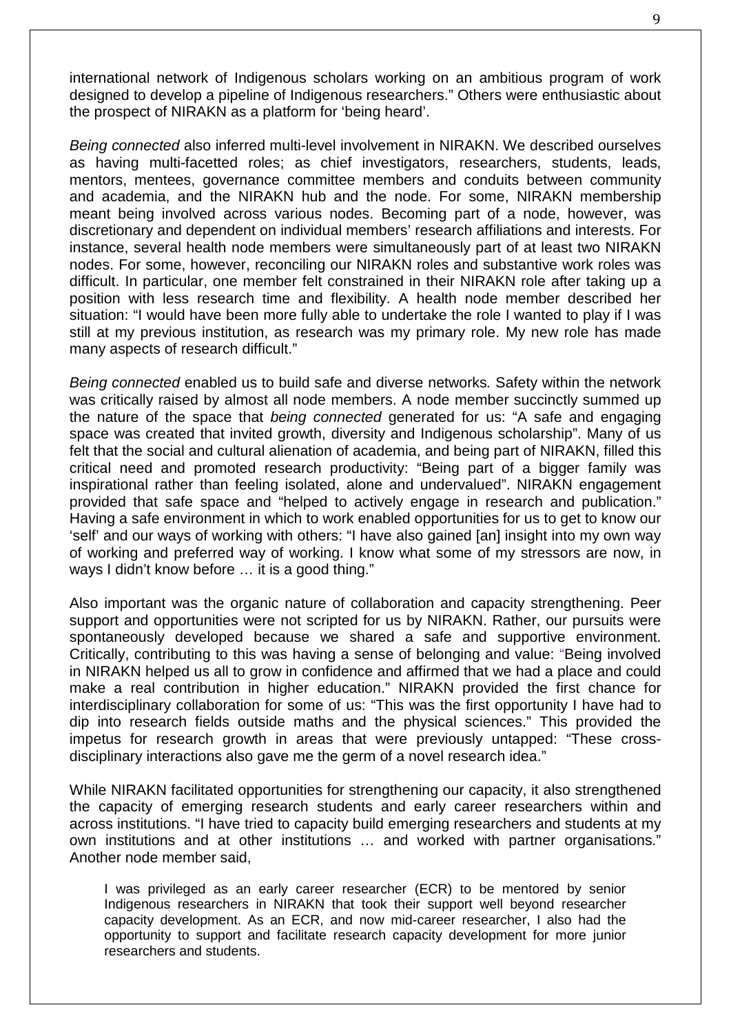international network of Indigenous scholars working on an ambitious program of work designed to develop a pipeline of Indigenous researchers." Others were enthusiastic about the prospect of NIRAKN as a platform for 'being heard'.

*Being connected* also inferred multi-level involvement in NIRAKN. We described ourselves as having multi-facetted roles; as chief investigators, researchers, students, leads, mentors, mentees, governance committee members and conduits between community and academia, and the NIRAKN hub and the node. For some, NIRAKN membership meant being involved across various nodes. Becoming part of a node, however, was discretionary and dependent on individual members' research affiliations and interests. For instance, several health node members were simultaneously part of at least two NIRAKN nodes. For some, however, reconciling our NIRAKN roles and substantive work roles was difficult. In particular, one member felt constrained in their NIRAKN role after taking up a position with less research time and flexibility. A health node member described her situation: "I would have been more fully able to undertake the role I wanted to play if I was still at my previous institution, as research was my primary role. My new role has made many aspects of research difficult."

*Being connected* enabled us to build safe and diverse networks*.* Safety within the network was critically raised by almost all node members. A node member succinctly summed up the nature of the space that *being connected* generated for us: "A safe and engaging space was created that invited growth, diversity and Indigenous scholarship". Many of us felt that the social and cultural alienation of academia, and being part of NIRAKN, filled this critical need and promoted research productivity: "Being part of a bigger family was inspirational rather than feeling isolated, alone and undervalued". NIRAKN engagement provided that safe space and "helped to actively engage in research and publication." Having a safe environment in which to work enabled opportunities for us to get to know our 'self' and our ways of working with others: "I have also gained [an] insight into my own way of working and preferred way of working. I know what some of my stressors are now, in ways I didn't know before ... it is a good thing."

Also important was the organic nature of collaboration and capacity strengthening. Peer support and opportunities were not scripted for us by NIRAKN. Rather, our pursuits were spontaneously developed because we shared a safe and supportive environment. Critically, contributing to this was having a sense of belonging and value: "Being involved in NIRAKN helped us all to grow in confidence and affirmed that we had a place and could make a real contribution in higher education." NIRAKN provided the first chance for interdisciplinary collaboration for some of us: "This was the first opportunity I have had to dip into research fields outside maths and the physical sciences." This provided the impetus for research growth in areas that were previously untapped: "These crossdisciplinary interactions also gave me the germ of a novel research idea."

While NIRAKN facilitated opportunities for strengthening our capacity, it also strengthened the capacity of emerging research students and early career researchers within and across institutions. "I have tried to capacity build emerging researchers and students at my own institutions and at other institutions … and worked with partner organisations." Another node member said,

I was privileged as an early career researcher (ECR) to be mentored by senior Indigenous researchers in NIRAKN that took their support well beyond researcher capacity development. As an ECR, and now mid-career researcher, I also had the opportunity to support and facilitate research capacity development for more junior researchers and students.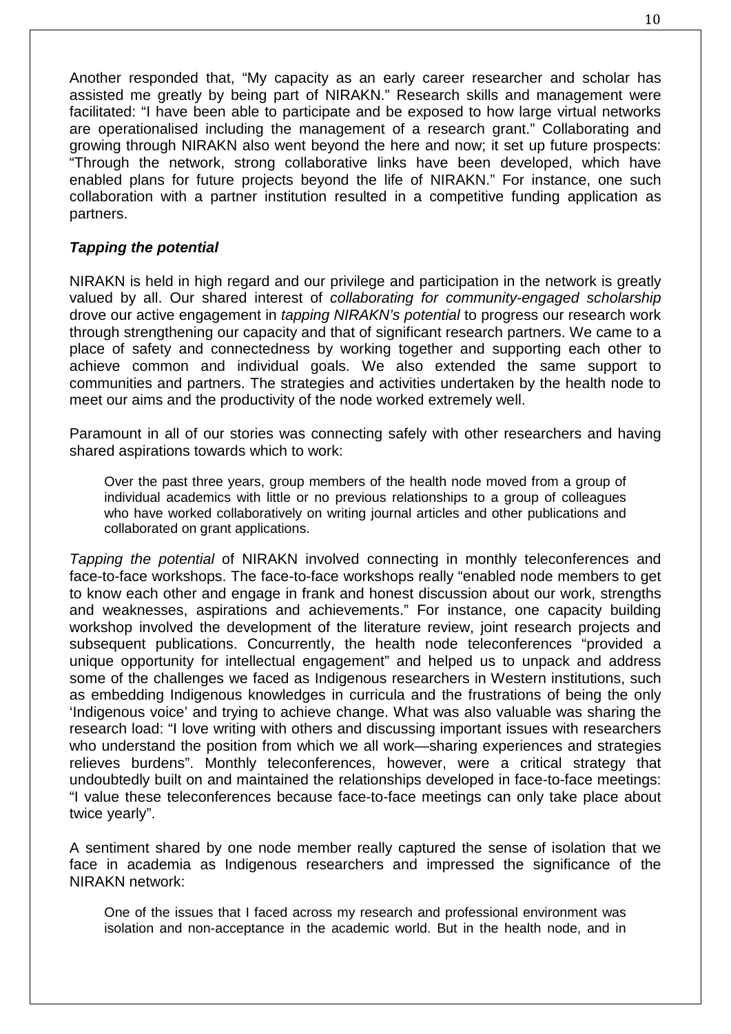Another responded that, "My capacity as an early career researcher and scholar has assisted me greatly by being part of NIRAKN." Research skills and management were facilitated: "I have been able to participate and be exposed to how large virtual networks are operationalised including the management of a research grant." Collaborating and growing through NIRAKN also went beyond the here and now; it set up future prospects: "Through the network, strong collaborative links have been developed, which have enabled plans for future projects beyond the life of NIRAKN." For instance, one such collaboration with a partner institution resulted in a competitive funding application as partners.

# *Tapping the potential*

NIRAKN is held in high regard and our privilege and participation in the network is greatly valued by all. Our shared interest of *collaborating for community-engaged scholarship* drove our active engagement in *tapping NIRAKN's potential* to progress our research work through strengthening our capacity and that of significant research partners. We came to a place of safety and connectedness by working together and supporting each other to achieve common and individual goals. We also extended the same support to communities and partners. The strategies and activities undertaken by the health node to meet our aims and the productivity of the node worked extremely well.

Paramount in all of our stories was connecting safely with other researchers and having shared aspirations towards which to work:

Over the past three years, group members of the health node moved from a group of individual academics with little or no previous relationships to a group of colleagues who have worked collaboratively on writing journal articles and other publications and collaborated on grant applications.

*Tapping the potential* of NIRAKN involved connecting in monthly teleconferences and face-to-face workshops. The face-to-face workshops really "enabled node members to get to know each other and engage in frank and honest discussion about our work, strengths and weaknesses, aspirations and achievements." For instance, one capacity building workshop involved the development of the literature review, joint research projects and subsequent publications. Concurrently, the health node teleconferences "provided a unique opportunity for intellectual engagement" and helped us to unpack and address some of the challenges we faced as Indigenous researchers in Western institutions, such as embedding Indigenous knowledges in curricula and the frustrations of being the only 'Indigenous voice' and trying to achieve change. What was also valuable was sharing the research load: "I love writing with others and discussing important issues with researchers who understand the position from which we all work—sharing experiences and strategies relieves burdens". Monthly teleconferences, however, were a critical strategy that undoubtedly built on and maintained the relationships developed in face-to-face meetings: "I value these teleconferences because face-to-face meetings can only take place about twice yearly".

A sentiment shared by one node member really captured the sense of isolation that we face in academia as Indigenous researchers and impressed the significance of the NIRAKN network:

One of the issues that I faced across my research and professional environment was isolation and non-acceptance in the academic world. But in the health node, and in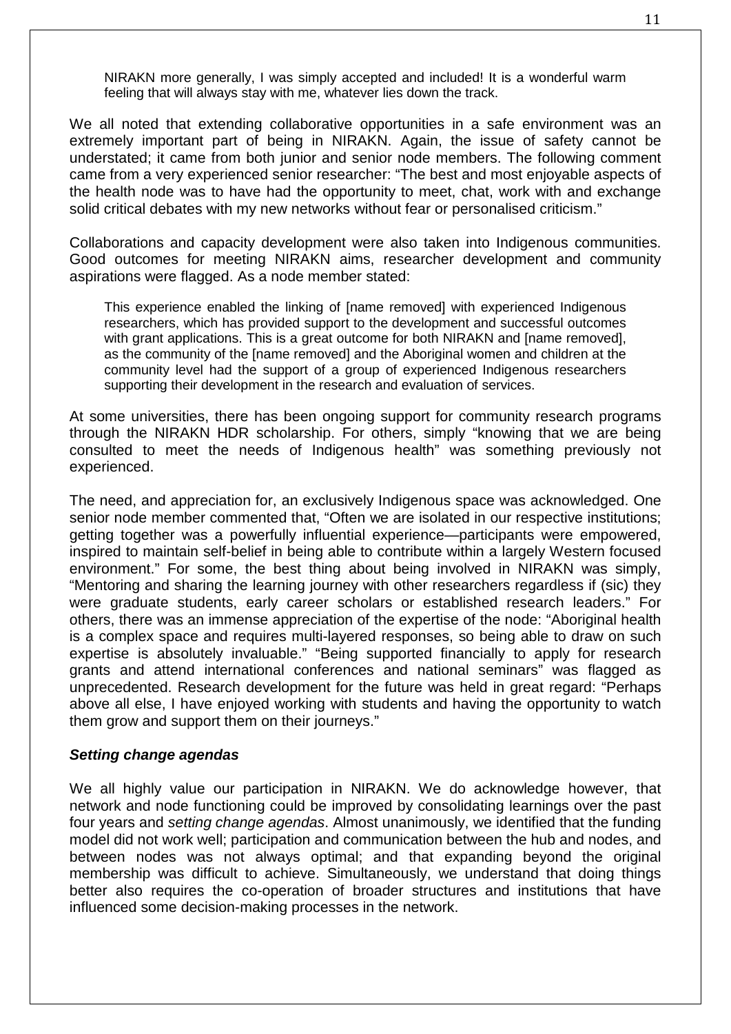NIRAKN more generally, I was simply accepted and included! It is a wonderful warm feeling that will always stay with me, whatever lies down the track.

We all noted that extending collaborative opportunities in a safe environment was an extremely important part of being in NIRAKN. Again, the issue of safety cannot be understated; it came from both junior and senior node members. The following comment came from a very experienced senior researcher: "The best and most enjoyable aspects of the health node was to have had the opportunity to meet, chat, work with and exchange solid critical debates with my new networks without fear or personalised criticism."

Collaborations and capacity development were also taken into Indigenous communities. Good outcomes for meeting NIRAKN aims, researcher development and community aspirations were flagged. As a node member stated:

This experience enabled the linking of [name removed] with experienced Indigenous researchers, which has provided support to the development and successful outcomes with grant applications. This is a great outcome for both NIRAKN and [name removed], as the community of the [name removed] and the Aboriginal women and children at the community level had the support of a group of experienced Indigenous researchers supporting their development in the research and evaluation of services.

At some universities, there has been ongoing support for community research programs through the NIRAKN HDR scholarship. For others, simply "knowing that we are being consulted to meet the needs of Indigenous health" was something previously not experienced.

The need, and appreciation for, an exclusively Indigenous space was acknowledged. One senior node member commented that, "Often we are isolated in our respective institutions; getting together was a powerfully influential experience—participants were empowered, inspired to maintain self-belief in being able to contribute within a largely Western focused environment." For some, the best thing about being involved in NIRAKN was simply, "Mentoring and sharing the learning journey with other researchers regardless if (sic) they were graduate students, early career scholars or established research leaders." For others, there was an immense appreciation of the expertise of the node: "Aboriginal health is a complex space and requires multi-layered responses, so being able to draw on such expertise is absolutely invaluable." "Being supported financially to apply for research grants and attend international conferences and national seminars" was flagged as unprecedented. Research development for the future was held in great regard: "Perhaps above all else, I have enjoyed working with students and having the opportunity to watch them grow and support them on their journeys."

#### *Setting change agendas*

We all highly value our participation in NIRAKN. We do acknowledge however, that network and node functioning could be improved by consolidating learnings over the past four years and *setting change agendas*. Almost unanimously, we identified that the funding model did not work well; participation and communication between the hub and nodes, and between nodes was not always optimal; and that expanding beyond the original membership was difficult to achieve. Simultaneously, we understand that doing things better also requires the co-operation of broader structures and institutions that have influenced some decision-making processes in the network.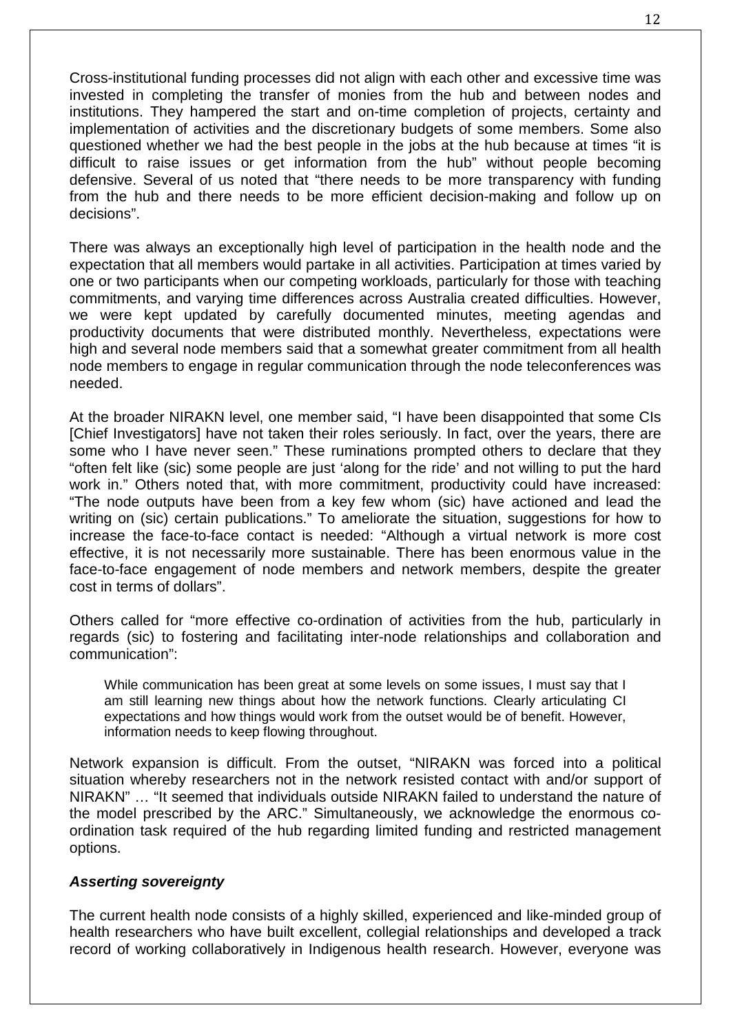Cross-institutional funding processes did not align with each other and excessive time was invested in completing the transfer of monies from the hub and between nodes and institutions. They hampered the start and on-time completion of projects, certainty and implementation of activities and the discretionary budgets of some members. Some also questioned whether we had the best people in the jobs at the hub because at times "it is difficult to raise issues or get information from the hub" without people becoming defensive. Several of us noted that "there needs to be more transparency with funding from the hub and there needs to be more efficient decision-making and follow up on decisions".

There was always an exceptionally high level of participation in the health node and the expectation that all members would partake in all activities. Participation at times varied by one or two participants when our competing workloads, particularly for those with teaching commitments, and varying time differences across Australia created difficulties. However, we were kept updated by carefully documented minutes, meeting agendas and productivity documents that were distributed monthly. Nevertheless, expectations were high and several node members said that a somewhat greater commitment from all health node members to engage in regular communication through the node teleconferences was needed.

At the broader NIRAKN level, one member said, "I have been disappointed that some CIs [Chief Investigators] have not taken their roles seriously. In fact, over the years, there are some who I have never seen." These ruminations prompted others to declare that they "often felt like (sic) some people are just 'along for the ride' and not willing to put the hard work in." Others noted that, with more commitment, productivity could have increased: "The node outputs have been from a key few whom (sic) have actioned and lead the writing on (sic) certain publications." To ameliorate the situation, suggestions for how to increase the face-to-face contact is needed: "Although a virtual network is more cost effective, it is not necessarily more sustainable. There has been enormous value in the face-to-face engagement of node members and network members, despite the greater cost in terms of dollars".

Others called for "more effective co-ordination of activities from the hub, particularly in regards (sic) to fostering and facilitating inter-node relationships and collaboration and communication":

While communication has been great at some levels on some issues, I must say that I am still learning new things about how the network functions. Clearly articulating CI expectations and how things would work from the outset would be of benefit. However, information needs to keep flowing throughout.

Network expansion is difficult. From the outset, "NIRAKN was forced into a political situation whereby researchers not in the network resisted contact with and/or support of NIRAKN" … "It seemed that individuals outside NIRAKN failed to understand the nature of the model prescribed by the ARC." Simultaneously, we acknowledge the enormous coordination task required of the hub regarding limited funding and restricted management options.

## *Asserting sovereignty*

The current health node consists of a highly skilled, experienced and like-minded group of health researchers who have built excellent, collegial relationships and developed a track record of working collaboratively in Indigenous health research. However, everyone was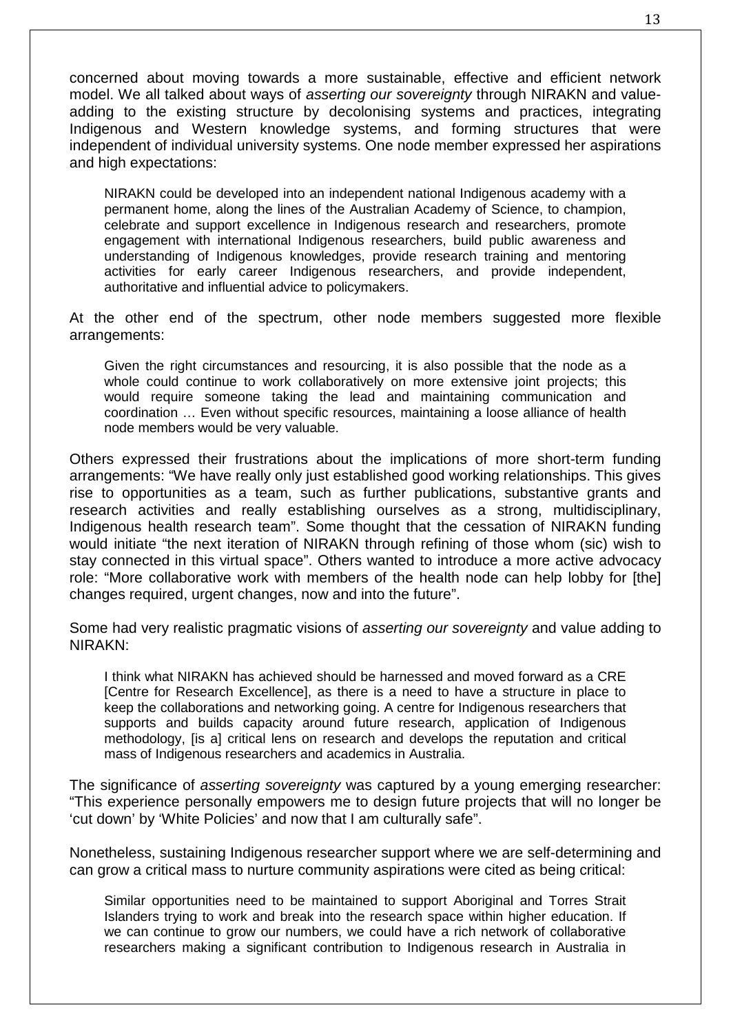concerned about moving towards a more sustainable, effective and efficient network model. We all talked about ways of *asserting our sovereignty* through NIRAKN and valueadding to the existing structure by decolonising systems and practices, integrating Indigenous and Western knowledge systems, and forming structures that were independent of individual university systems. One node member expressed her aspirations and high expectations:

NIRAKN could be developed into an independent national Indigenous academy with a permanent home, along the lines of the Australian Academy of Science, to champion, celebrate and support excellence in Indigenous research and researchers, promote engagement with international Indigenous researchers, build public awareness and understanding of Indigenous knowledges, provide research training and mentoring activities for early career Indigenous researchers, and provide independent, authoritative and influential advice to policymakers.

At the other end of the spectrum, other node members suggested more flexible arrangements:

Given the right circumstances and resourcing, it is also possible that the node as a whole could continue to work collaboratively on more extensive joint projects; this would require someone taking the lead and maintaining communication and coordination … Even without specific resources, maintaining a loose alliance of health node members would be very valuable.

Others expressed their frustrations about the implications of more short-term funding arrangements: "We have really only just established good working relationships. This gives rise to opportunities as a team, such as further publications, substantive grants and research activities and really establishing ourselves as a strong, multidisciplinary, Indigenous health research team". Some thought that the cessation of NIRAKN funding would initiate "the next iteration of NIRAKN through refining of those whom (sic) wish to stay connected in this virtual space". Others wanted to introduce a more active advocacy role: "More collaborative work with members of the health node can help lobby for [the] changes required, urgent changes, now and into the future".

Some had very realistic pragmatic visions of *asserting our sovereignty* and value adding to NIRAKN:

I think what NIRAKN has achieved should be harnessed and moved forward as a CRE [Centre for Research Excellence], as there is a need to have a structure in place to keep the collaborations and networking going. A centre for Indigenous researchers that supports and builds capacity around future research, application of Indigenous methodology, [is a] critical lens on research and develops the reputation and critical mass of Indigenous researchers and academics in Australia.

The significance of *asserting sovereignty* was captured by a young emerging researcher: "This experience personally empowers me to design future projects that will no longer be 'cut down' by 'White Policies' and now that I am culturally safe".

Nonetheless, sustaining Indigenous researcher support where we are self-determining and can grow a critical mass to nurture community aspirations were cited as being critical:

Similar opportunities need to be maintained to support Aboriginal and Torres Strait Islanders trying to work and break into the research space within higher education. If we can continue to grow our numbers, we could have a rich network of collaborative researchers making a significant contribution to Indigenous research in Australia in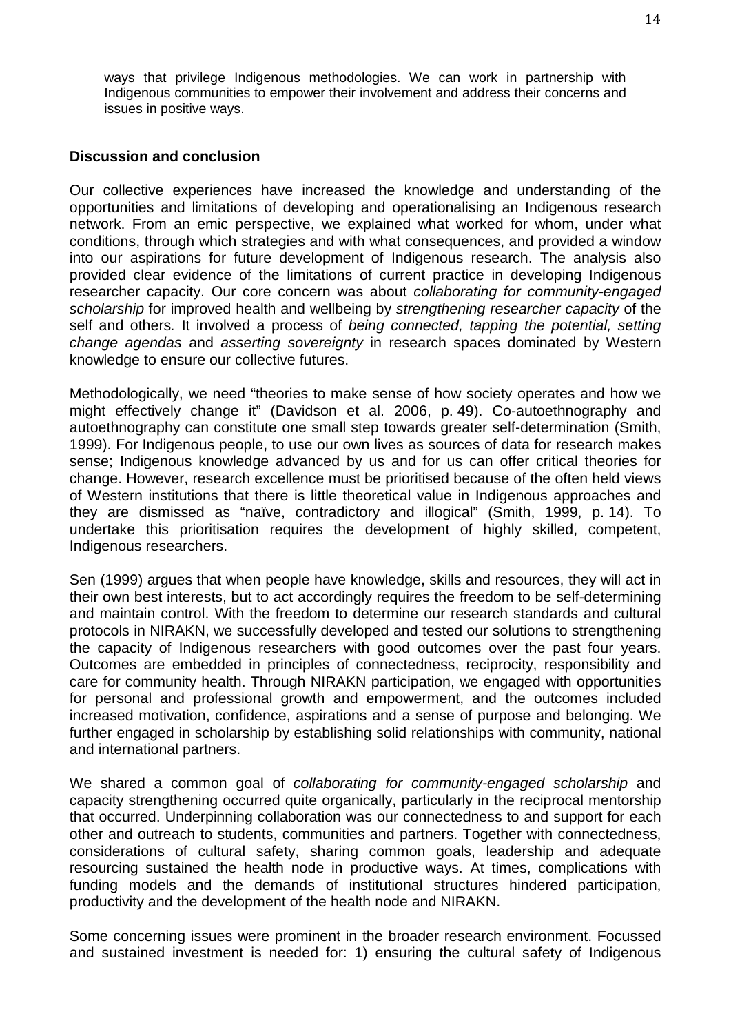ways that privilege Indigenous methodologies. We can work in partnership with Indigenous communities to empower their involvement and address their concerns and issues in positive ways.

#### **Discussion and conclusion**

Our collective experiences have increased the knowledge and understanding of the opportunities and limitations of developing and operationalising an Indigenous research network. From an emic perspective, we explained what worked for whom, under what conditions, through which strategies and with what consequences, and provided a window into our aspirations for future development of Indigenous research. The analysis also provided clear evidence of the limitations of current practice in developing Indigenous researcher capacity. Our core concern was about *collaborating for community-engaged scholarship* for improved health and wellbeing by *strengthening researcher capacity* of the self and others*.* It involved a process of *being connected, tapping the potential, setting change agendas* and *asserting sovereignty* in research spaces dominated by Western knowledge to ensure our collective futures.

Methodologically, we need "theories to make sense of how society operates and how we might effectively change it" (Davidson et al. 2006, p. 49). Co-autoethnography and autoethnography can constitute one small step towards greater self-determination (Smith, 1999). For Indigenous people, to use our own lives as sources of data for research makes sense; Indigenous knowledge advanced by us and for us can offer critical theories for change. However, research excellence must be prioritised because of the often held views of Western institutions that there is little theoretical value in Indigenous approaches and they are dismissed as "naïve, contradictory and illogical" (Smith, 1999, p. 14). To undertake this prioritisation requires the development of highly skilled, competent, Indigenous researchers.

Sen (1999) argues that when people have knowledge, skills and resources, they will act in their own best interests, but to act accordingly requires the freedom to be self-determining and maintain control. With the freedom to determine our research standards and cultural protocols in NIRAKN, we successfully developed and tested our solutions to strengthening the capacity of Indigenous researchers with good outcomes over the past four years. Outcomes are embedded in principles of connectedness, reciprocity, responsibility and care for community health. Through NIRAKN participation, we engaged with opportunities for personal and professional growth and empowerment, and the outcomes included increased motivation, confidence, aspirations and a sense of purpose and belonging. We further engaged in scholarship by establishing solid relationships with community, national and international partners.

We shared a common goal of *collaborating for community-engaged scholarship* and capacity strengthening occurred quite organically, particularly in the reciprocal mentorship that occurred. Underpinning collaboration was our connectedness to and support for each other and outreach to students, communities and partners. Together with connectedness, considerations of cultural safety, sharing common goals, leadership and adequate resourcing sustained the health node in productive ways. At times, complications with funding models and the demands of institutional structures hindered participation, productivity and the development of the health node and NIRAKN.

Some concerning issues were prominent in the broader research environment. Focussed and sustained investment is needed for: 1) ensuring the cultural safety of Indigenous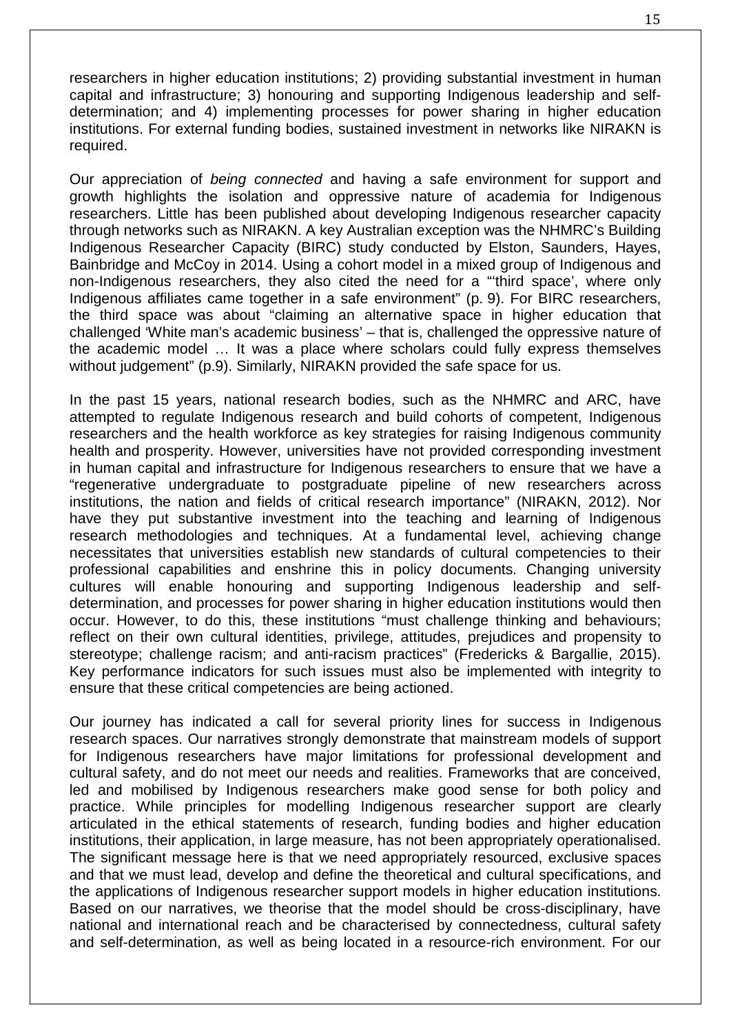researchers in higher education institutions; 2) providing substantial investment in human capital and infrastructure; 3) honouring and supporting Indigenous leadership and selfdetermination; and 4) implementing processes for power sharing in higher education institutions. For external funding bodies, sustained investment in networks like NIRAKN is required.

Our appreciation of *being connected* and having a safe environment for support and growth highlights the isolation and oppressive nature of academia for Indigenous researchers. Little has been published about developing Indigenous researcher capacity through networks such as NIRAKN. A key Australian exception was the NHMRC's Building Indigenous Researcher Capacity (BIRC) study conducted by Elston, Saunders, Hayes, Bainbridge and McCoy in 2014. Using a cohort model in a mixed group of Indigenous and non-Indigenous researchers, they also cited the need for a "'third space', where only Indigenous affiliates came together in a safe environment" (p. 9). For BIRC researchers, the third space was about "claiming an alternative space in higher education that challenged 'White man's academic business' – that is, challenged the oppressive nature of the academic model … It was a place where scholars could fully express themselves without judgement" (p.9). Similarly, NIRAKN provided the safe space for us.

In the past 15 years, national research bodies, such as the NHMRC and ARC, have attempted to regulate Indigenous research and build cohorts of competent, Indigenous researchers and the health workforce as key strategies for raising Indigenous community health and prosperity. However, universities have not provided corresponding investment in human capital and infrastructure for Indigenous researchers to ensure that we have a "regenerative undergraduate to postgraduate pipeline of new researchers across institutions, the nation and fields of critical research importance" (NIRAKN, 2012). Nor have they put substantive investment into the teaching and learning of Indigenous research methodologies and techniques. At a fundamental level, achieving change necessitates that universities establish new standards of cultural competencies to their professional capabilities and enshrine this in policy documents. Changing university cultures will enable honouring and supporting Indigenous leadership and selfdetermination, and processes for power sharing in higher education institutions would then occur. However, to do this, these institutions "must challenge thinking and behaviours; reflect on their own cultural identities, privilege, attitudes, prejudices and propensity to stereotype; challenge racism; and anti-racism practices" (Fredericks & Bargallie, 2015). Key performance indicators for such issues must also be implemented with integrity to ensure that these critical competencies are being actioned.

Our journey has indicated a call for several priority lines for success in Indigenous research spaces. Our narratives strongly demonstrate that mainstream models of support for Indigenous researchers have major limitations for professional development and cultural safety, and do not meet our needs and realities. Frameworks that are conceived, led and mobilised by Indigenous researchers make good sense for both policy and practice. While principles for modelling Indigenous researcher support are clearly articulated in the ethical statements of research, funding bodies and higher education institutions, their application, in large measure, has not been appropriately operationalised. The significant message here is that we need appropriately resourced, exclusive spaces and that we must lead, develop and define the theoretical and cultural specifications, and the applications of Indigenous researcher support models in higher education institutions. Based on our narratives, we theorise that the model should be cross-disciplinary, have national and international reach and be characterised by connectedness, cultural safety and self-determination, as well as being located in a resource-rich environment. For our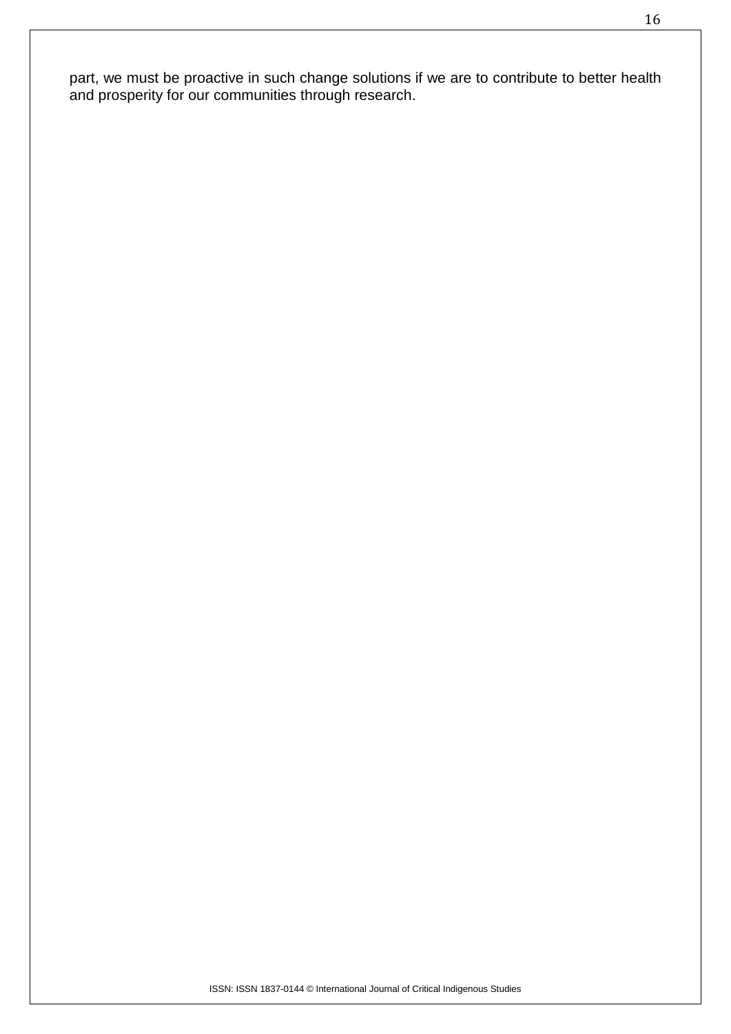part, we must be proactive in such change solutions if we are to contribute to better health and prosperity for our communities through research.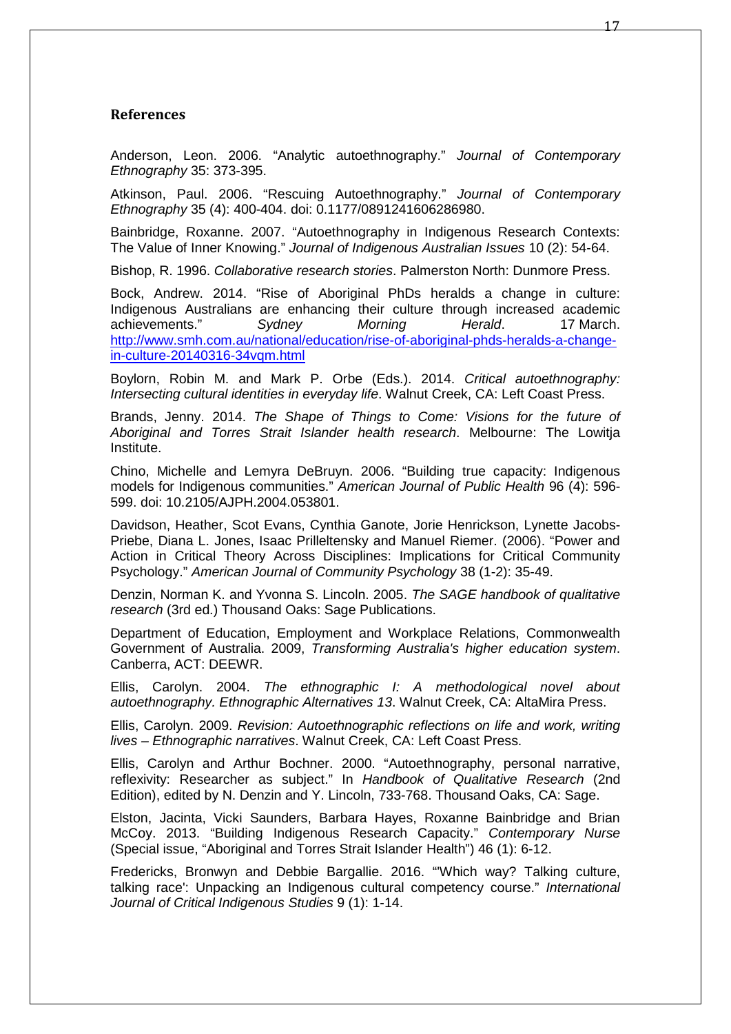#### **References**

Anderson, Leon. 2006. "Analytic autoethnography." *Journal of Contemporary Ethnography* 35: 373-395.

Atkinson, Paul. 2006. "Rescuing Autoethnography." *Journal of Contemporary Ethnography* 35 (4): 400-404. doi: 0.1177/0891241606286980.

Bainbridge, Roxanne. 2007. "Autoethnography in Indigenous Research Contexts: The Value of Inner Knowing." *Journal of Indigenous Australian Issues* 10 (2): 54-64.

Bishop, R. 1996. *Collaborative research stories*. Palmerston North: Dunmore Press.

Bock, Andrew. 2014. "Rise of Aboriginal PhDs heralds a change in culture: Indigenous Australians are enhancing their culture through increased academic achievements." *Sydney Morning Herald*. 17 March. [http://www.smh.com.au/national/education/rise-of-aboriginal-phds-heralds-a-change](http://www.smh.com.au/national/education/rise-of-aboriginal-phds-heralds-a-change-in-culture-20140316-34vqm.html)[in-culture-20140316-34vqm.html](http://www.smh.com.au/national/education/rise-of-aboriginal-phds-heralds-a-change-in-culture-20140316-34vqm.html)

Boylorn, Robin M. and Mark P. Orbe (Eds.). 2014. *Critical autoethnography: Intersecting cultural identities in everyday life*. Walnut Creek, CA: Left Coast Press.

Brands, Jenny. 2014. *The Shape of Things to Come: Visions for the future of Aboriginal and Torres Strait Islander health research*. Melbourne: The Lowitja Institute.

Chino, Michelle and Lemyra DeBruyn. 2006. "Building true capacity: Indigenous models for Indigenous communities." *American Journal of Public Health* 96 (4): 596- 599. doi: 10.2105/AJPH.2004.053801.

Davidson, Heather, Scot Evans, Cynthia Ganote, Jorie Henrickson, Lynette Jacobs-Priebe, Diana L. Jones, Isaac Prilleltensky and Manuel Riemer. (2006). "Power and Action in Critical Theory Across Disciplines: Implications for Critical Community Psychology." *American Journal of Community Psychology* 38 (1-2): 35-49.

Denzin, Norman K. and Yvonna S. Lincoln. 2005. *The SAGE handbook of qualitative research* (3rd ed.) Thousand Oaks: Sage Publications.

Department of Education, Employment and Workplace Relations, Commonwealth Government of Australia. 2009, *Transforming Australia's higher education system*. Canberra, ACT: DEEWR.

Ellis, Carolyn. 2004. *The ethnographic I: A methodological novel about autoethnography. Ethnographic Alternatives 13*. Walnut Creek, CA: AltaMira Press.

Ellis, Carolyn. 2009. *Revision: Autoethnographic reflections on life and work, writing lives – Ethnographic narratives*. Walnut Creek, CA: Left Coast Press.

Ellis, Carolyn and Arthur Bochner. 2000. "Autoethnography, personal narrative, reflexivity: Researcher as subject." In *Handbook of Qualitative Research* (2nd Edition), edited by N. Denzin and Y. Lincoln, 733-768. Thousand Oaks, CA: Sage.

Elston, Jacinta, Vicki Saunders, Barbara Hayes, Roxanne Bainbridge and Brian McCoy. 2013. "Building Indigenous Research Capacity." *Contemporary Nurse* (Special issue, "Aboriginal and Torres Strait Islander Health") 46 (1): 6-12.

Fredericks, Bronwyn and Debbie Bargallie. 2016. "'Which way? Talking culture, talking race': Unpacking an Indigenous cultural competency course." *International Journal of Critical Indigenous Studies* 9 (1): 1-14.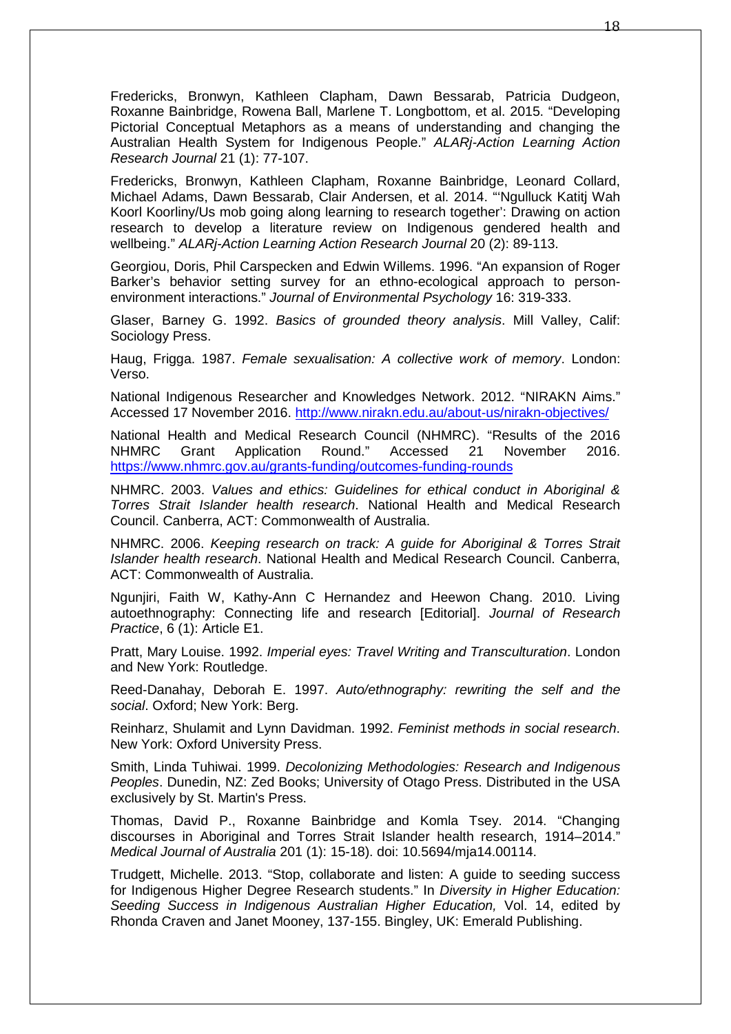Fredericks, Bronwyn, Kathleen Clapham, Dawn Bessarab, Patricia Dudgeon, Roxanne Bainbridge, Rowena Ball, Marlene T. Longbottom, et al. 2015. "Developing Pictorial Conceptual Metaphors as a means of understanding and changing the Australian Health System for Indigenous People." *ALARj-Action Learning Action Research Journal* 21 (1): 77-107.

Fredericks, Bronwyn, Kathleen Clapham, Roxanne Bainbridge, Leonard Collard, Michael Adams, Dawn Bessarab, Clair Andersen, et al. 2014. "'Ngulluck Katitj Wah Koorl Koorliny/Us mob going along learning to research together': Drawing on action research to develop a literature review on Indigenous gendered health and wellbeing." *ALARj-Action Learning Action Research Journal* 20 (2): 89-113.

Georgiou, Doris, Phil Carspecken and Edwin Willems. 1996. "An expansion of Roger Barker's behavior setting survey for an ethno-ecological approach to personenvironment interactions." *Journal of Environmental Psychology* 16: 319-333.

Glaser, Barney G. 1992. *Basics of grounded theory analysis*. Mill Valley, Calif: Sociology Press.

Haug, Frigga. 1987. *Female sexualisation: A collective work of memory*. London: Verso.

National Indigenous Researcher and Knowledges Network. 2012. "NIRAKN Aims." Accessed 17 November 2016.<http://www.nirakn.edu.au/about-us/nirakn-objectives/>

National Health and Medical Research Council (NHMRC). "Results of the 2016 NHMRC Grant Application Round." Accessed 21 November 2016. <https://www.nhmrc.gov.au/grants-funding/outcomes-funding-rounds>

NHMRC. 2003. *Values and ethics: Guidelines for ethical conduct in Aboriginal & Torres Strait Islander health research*. National Health and Medical Research Council. Canberra, ACT: Commonwealth of Australia.

NHMRC. 2006. *Keeping research on track: A guide for Aboriginal & Torres Strait Islander health research*. National Health and Medical Research Council. Canberra, ACT: Commonwealth of Australia.

Ngunjiri, Faith W, Kathy-Ann C Hernandez and Heewon Chang. 2010. Living autoethnography: Connecting life and research [Editorial]. *Journal of Research Practice*, 6 (1): Article E1.

Pratt, Mary Louise. 1992. *Imperial eyes: Travel Writing and Transculturation*. London and New York: Routledge.

Reed-Danahay, Deborah E. 1997. *Auto/ethnography: rewriting the self and the social*. Oxford; New York: Berg.

Reinharz, Shulamit and Lynn Davidman. 1992. *Feminist methods in social research*. New York: Oxford University Press.

Smith, Linda Tuhiwai. 1999. *Decolonizing Methodologies: Research and Indigenous Peoples*. Dunedin, NZ: Zed Books; University of Otago Press. Distributed in the USA exclusively by St. Martin's Press.

Thomas, David P., Roxanne Bainbridge and Komla Tsey. 2014. "Changing discourses in Aboriginal and Torres Strait Islander health research, 1914–2014." *Medical Journal of Australia* 201 (1): 15-18). doi: 10.5694/mja14.00114.

Trudgett, Michelle. 2013. "Stop, collaborate and listen: A guide to seeding success for Indigenous Higher Degree Research students." In *Diversity in Higher Education: Seeding Success in Indigenous Australian Higher Education,* Vol. 14, edited by Rhonda Craven and Janet Mooney, 137-155. Bingley, UK: Emerald Publishing.